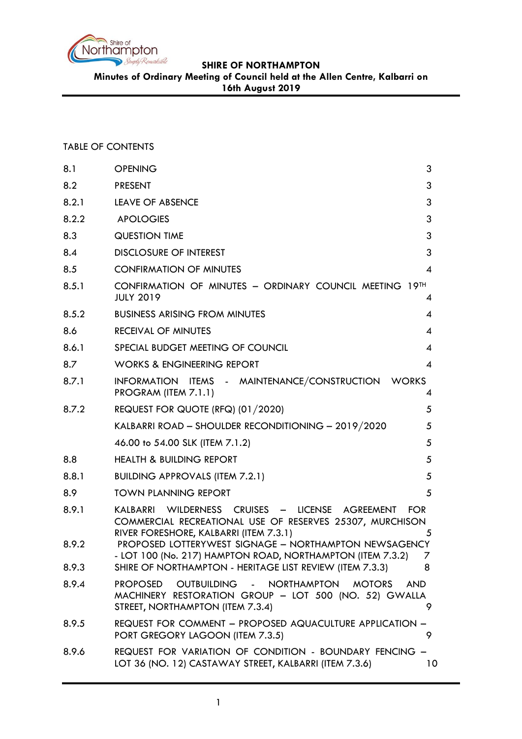

**Minutes of Ordinary Meeting of Council held at the Allen Centre, Kalbarri on** 

**16th August 2019**

## TABLE OF CONTENTS

| 8.1   | <b>OPENING</b>                                                                                                                                                           | 3              |
|-------|--------------------------------------------------------------------------------------------------------------------------------------------------------------------------|----------------|
| 8.2   | <b>PRESENT</b>                                                                                                                                                           | 3              |
| 8.2.1 | <b>LEAVE OF ABSENCE</b>                                                                                                                                                  | 3              |
| 8.2.2 | <b>APOLOGIES</b>                                                                                                                                                         | 3              |
| 8.3   | <b>QUESTION TIME</b>                                                                                                                                                     | 3              |
| 8.4   | <b>DISCLOSURE OF INTEREST</b>                                                                                                                                            | 3              |
| 8.5   | <b>CONFIRMATION OF MINUTES</b>                                                                                                                                           | $\overline{4}$ |
| 8.5.1 | CONFIRMATION OF MINUTES - ORDINARY COUNCIL MEETING 19TH<br><b>JULY 2019</b>                                                                                              | 4              |
| 8.5.2 | <b>BUSINESS ARISING FROM MINUTES</b>                                                                                                                                     | 4              |
| 8.6   | <b>RECEIVAL OF MINUTES</b>                                                                                                                                               | 4              |
| 8.6.1 | SPECIAL BUDGET MEETING OF COUNCIL                                                                                                                                        | 4              |
| 8.7   | <b>WORKS &amp; ENGINEERING REPORT</b>                                                                                                                                    | $\overline{4}$ |
| 8.7.1 | INFORMATION ITEMS - MAINTENANCE/CONSTRUCTION WORKS<br>PROGRAM (ITEM 7.1.1)                                                                                               | 4              |
| 8.7.2 | REQUEST FOR QUOTE (RFQ) (01/2020)                                                                                                                                        | 5              |
|       | KALBARRI ROAD - SHOULDER RECONDITIONING - 2019/2020                                                                                                                      | 5              |
|       | 46.00 to 54.00 SLK (ITEM 7.1.2)                                                                                                                                          | 5              |
| 8.8   | <b>HEALTH &amp; BUILDING REPORT</b>                                                                                                                                      | 5              |
| 8.8.1 | <b>BUILDING APPROVALS (ITEM 7.2.1)</b>                                                                                                                                   | 5              |
| 8.9   | <b>TOWN PLANNING REPORT</b>                                                                                                                                              | 5              |
| 8.9.1 | KALBARRI WILDERNESS CRUISES - LICENSE<br>AGREEMENT<br><b>FOR</b><br>COMMERCIAL RECREATIONAL USE OF RESERVES 25307, MURCHISON<br>RIVER FORESHORE, KALBARRI (ITEM 7.3.1)   | 5              |
| 8.9.2 | PROPOSED LOTTERYWEST SIGNAGE - NORTHAMPTON NEWSAGENCY<br>- LOT 100 (No. 217) HAMPTON ROAD, NORTHAMPTON (ITEM 7.3.2)                                                      | 7              |
| 8.9.3 | SHIRE OF NORTHAMPTON - HERITAGE LIST REVIEW (ITEM 7.3.3)                                                                                                                 | 8              |
| 8.9.4 | OUTBUILDING - NORTHAMPTON<br><b>PROPOSED</b><br><b>MOTORS</b><br><b>AND</b><br>MACHINERY RESTORATION GROUP - LOT 500 (NO. 52) GWALLA<br>STREET, NORTHAMPTON (ITEM 7.3.4) | 9              |
| 8.9.5 | REQUEST FOR COMMENT - PROPOSED AQUACULTURE APPLICATION -<br>PORT GREGORY LAGOON (ITEM 7.3.5)                                                                             | 9              |
| 8.9.6 | REQUEST FOR VARIATION OF CONDITION - BOUNDARY FENCING -<br>LOT 36 (NO. 12) CASTAWAY STREET, KALBARRI (ITEM 7.3.6)                                                        | 10             |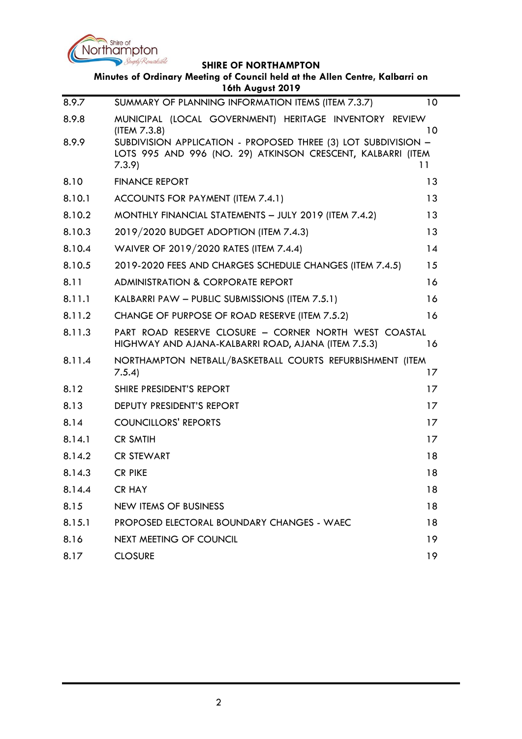

|        | Minutes of Ordinary Meeting of Council held at the Allen Centre, Kalbarri on<br>16th August 2019                                       |         |
|--------|----------------------------------------------------------------------------------------------------------------------------------------|---------|
| 8.9.7  | SUMMARY OF PLANNING INFORMATION ITEMS (ITEM 7.3.7)                                                                                     | 10      |
| 8.9.8  | MUNICIPAL (LOCAL GOVERNMENT) HERITAGE INVENTORY REVIEW<br>(ITER 7.3.8)                                                                 | 10      |
| 8.9.9  | SUBDIVISION APPLICATION - PROPOSED THREE (3) LOT SUBDIVISION -<br>LOTS 995 AND 996 (NO. 29) ATKINSON CRESCENT, KALBARRI (ITEM<br>7.3.9 | 11      |
| 8.10   | <b>FINANCE REPORT</b>                                                                                                                  | 13      |
| 8.10.1 | ACCOUNTS FOR PAYMENT (ITEM 7.4.1)                                                                                                      | 13      |
| 8.10.2 | MONTHLY FINANCIAL STATEMENTS - JULY 2019 (ITEM 7.4.2)                                                                                  | 13      |
| 8.10.3 | 2019/2020 BUDGET ADOPTION (ITEM 7.4.3)                                                                                                 | 13      |
| 8.10.4 | WAIVER OF 2019/2020 RATES (ITEM 7.4.4)                                                                                                 | 14      |
| 8.10.5 | 2019-2020 FEES AND CHARGES SCHEDULE CHANGES (ITEM 7.4.5)                                                                               | 15      |
| 8.11   | <b>ADMINISTRATION &amp; CORPORATE REPORT</b>                                                                                           | 16      |
| 8.11.1 | KALBARRI PAW - PUBLIC SUBMISSIONS (ITEM 7.5.1)                                                                                         | 16      |
| 8.11.2 | CHANGE OF PURPOSE OF ROAD RESERVE (ITEM 7.5.2)                                                                                         | 16      |
| 8.11.3 | PART ROAD RESERVE CLOSURE - CORNER NORTH WEST COASTAL<br>HIGHWAY AND AJANA-KALBARRI ROAD, AJANA (ITEM 7.5.3)                           | 16      |
| 8.11.4 | NORTHAMPTON NETBALL/BASKETBALL COURTS REFURBISHMENT (ITEM<br>7.5.4)                                                                    | 17      |
| 8.12   | SHIRE PRESIDENT'S REPORT                                                                                                               | 17      |
| 8.13   | DEPUTY PRESIDENT'S REPORT                                                                                                              | 17      |
| 8.14   | <b>COUNCILLORS' REPORTS</b>                                                                                                            | 17      |
| 8.14.1 | <b>CR SMTIH</b>                                                                                                                        | $17 \,$ |
| 8.14.2 | <b>CR STEWART</b>                                                                                                                      | 18      |
| 8.14.3 | <b>CR PIKE</b>                                                                                                                         | 18      |
| 8.14.4 | <b>CR HAY</b>                                                                                                                          | 18      |
| 8.15   | <b>NEW ITEMS OF BUSINESS</b>                                                                                                           | 18      |
| 8.15.1 | PROPOSED ELECTORAL BOUNDARY CHANGES - WAEC                                                                                             | 18      |
| 8.16   | <b>NEXT MEETING OF COUNCIL</b>                                                                                                         | 19      |
| 8.17   | <b>CLOSURE</b>                                                                                                                         | 19      |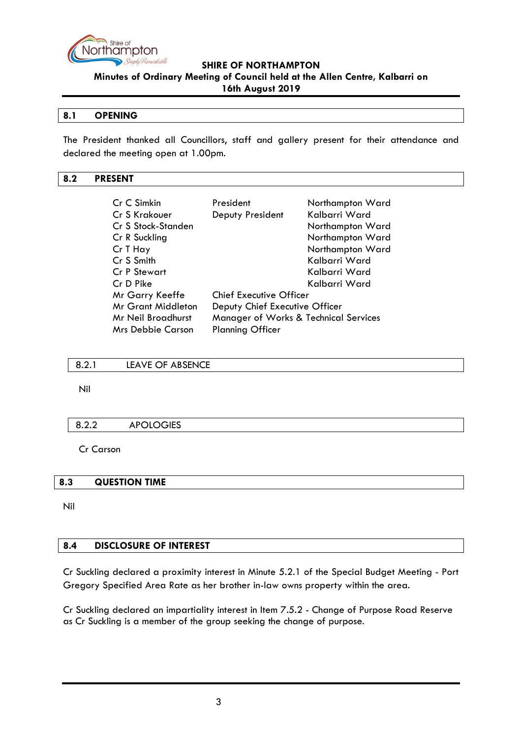

**Minutes of Ordinary Meeting of Council held at the Allen Centre, Kalbarri on 16th August 2019**

#### <span id="page-2-0"></span>**8.1 OPENING**

The President thanked all Councillors, staff and gallery present for their attendance and declared the meeting open at 1.00pm.

#### <span id="page-2-1"></span>**8.2 PRESENT**

| Cr C Simkin               | President                             | Northampton Ward |
|---------------------------|---------------------------------------|------------------|
| Cr S Krakouer             | Deputy President                      | Kalbarri Ward    |
| Cr S Stock-Standen        |                                       | Northampton Ward |
| Cr R Suckling             |                                       | Northampton Ward |
| Cr T Hay                  |                                       | Northampton Ward |
| Cr S Smith                |                                       | Kalbarri Ward    |
| <b>Cr P Stewart</b>       |                                       | Kalbarri Ward    |
| Cr D Pike                 |                                       | Kalbarri Ward    |
| Mr Garry Keeffe           | <b>Chief Executive Officer</b>        |                  |
| <b>Mr Grant Middleton</b> | Deputy Chief Executive Officer        |                  |
| Mr Neil Broadhurst        | Manager of Works & Technical Services |                  |
| <b>Mrs Debbie Carson</b>  | <b>Planning Officer</b>               |                  |

<span id="page-2-2"></span>8.2.1 LEAVE OF ABSENCE

Nil

#### <span id="page-2-3"></span>8.2.2 APOLOGIES

Cr Carson

## <span id="page-2-4"></span>**8.3 QUESTION TIME**

Nil

## <span id="page-2-5"></span>**8.4 DISCLOSURE OF INTEREST**

Cr Suckling declared a proximity interest in Minute 5.2.1 of the Special Budget Meeting - Port Gregory Specified Area Rate as her brother in-law owns property within the area.

Cr Suckling declared an impartiality interest in Item 7.5.2 - Change of Purpose Road Reserve as Cr Suckling is a member of the group seeking the change of purpose.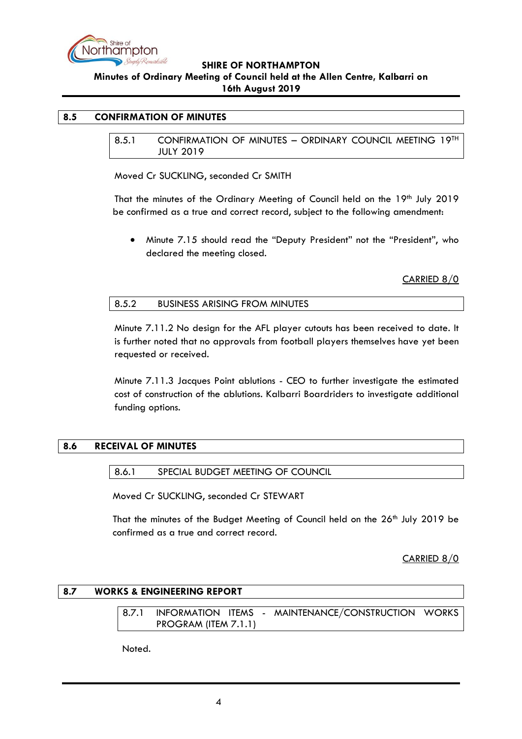

#### <span id="page-3-1"></span><span id="page-3-0"></span>**8.5 CONFIRMATION OF MINUTES**

8.5.1 CONFIRMATION OF MINUTES - ORDINARY COUNCIL MEETING 19TH JULY 2019

Moved Cr SUCKLING, seconded Cr SMITH

That the minutes of the Ordinary Meeting of Council held on the 19th July 2019 be confirmed as a true and correct record, subject to the following amendment:

• Minute 7.15 should read the "Deputy President" not the "President", who declared the meeting closed.

CARRIED 8/0

<span id="page-3-2"></span>

| 8.5.2 | <b>BUSINESS ARISING FROM MINUTES</b> |  |
|-------|--------------------------------------|--|
|-------|--------------------------------------|--|

Minute 7.11.2 No design for the AFL player cutouts has been received to date. It is further noted that no approvals from football players themselves have yet been requested or received.

Minute 7.11.3 Jacques Point ablutions - CEO to further investigate the estimated cost of construction of the ablutions. Kalbarri Boardriders to investigate additional funding options.

## <span id="page-3-4"></span><span id="page-3-3"></span>**8.6 RECEIVAL OF MINUTES**

8.6.1 SPECIAL BUDGET MEETING OF COUNCIL

Moved Cr SUCKLING, seconded Cr STEWART

That the minutes of the Budget Meeting of Council held on the 26<sup>th</sup> July 2019 be confirmed as a true and correct record.

CARRIED 8/0

#### <span id="page-3-6"></span><span id="page-3-5"></span>**8.7 WORKS & ENGINEERING REPORT**

8.7.1 INFORMATION ITEMS - MAINTENANCE/CONSTRUCTION WORKS PROGRAM (ITEM 7.1.1)

Noted.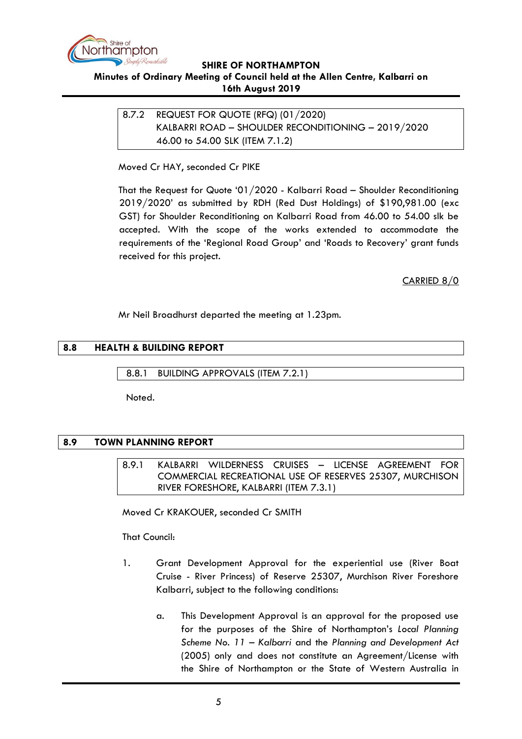

## <span id="page-4-0"></span>**Minutes of Ordinary Meeting of Council held at the Allen Centre, Kalbarri on 16th August 2019**

<span id="page-4-2"></span><span id="page-4-1"></span>8.7.2 REQUEST FOR QUOTE (RFQ) (01/2020) KALBARRI ROAD – SHOULDER RECONDITIONING – 2019/2020 46.00 to 54.00 SLK (ITEM 7.1.2)

## Moved Cr HAY, seconded Cr PIKE

That the Request for Quote '01/2020 - Kalbarri Road – Shoulder Reconditioning 2019/2020' as submitted by RDH (Red Dust Holdings) of \$190,981.00 (exc GST) for Shoulder Reconditioning on Kalbarri Road from 46.00 to 54.00 slk be accepted. With the scope of the works extended to accommodate the requirements of the 'Regional Road Group' and 'Roads to Recovery' grant funds received for this project.

CARRIED 8/0

Mr Neil Broadhurst departed the meeting at 1.23pm.

# <span id="page-4-3"></span>**8.8 HEALTH & BUILDING REPORT**

<span id="page-4-4"></span>8.8.1 BUILDING APPROVALS (ITEM 7.2.1)

Noted.

## <span id="page-4-6"></span><span id="page-4-5"></span>**8.9 TOWN PLANNING REPORT**

8.9.1 KALBARRI WILDERNESS CRUISES – LICENSE AGREEMENT FOR COMMERCIAL RECREATIONAL USE OF RESERVES 25307, MURCHISON RIVER FORESHORE, KALBARRI (ITEM 7.3.1)

Moved Cr KRAKOUER, seconded Cr SMITH

That Council:

- 1. Grant Development Approval for the experiential use (River Boat Cruise - River Princess) of Reserve 25307, Murchison River Foreshore Kalbarri, subject to the following conditions:
	- a. This Development Approval is an approval for the proposed use for the purposes of the Shire of Northampton's *Local Planning Scheme No. 11 – Kalbarri* and the *Planning and Development Act*  (2005) only and does not constitute an Agreement/License with the Shire of Northampton or the State of Western Australia in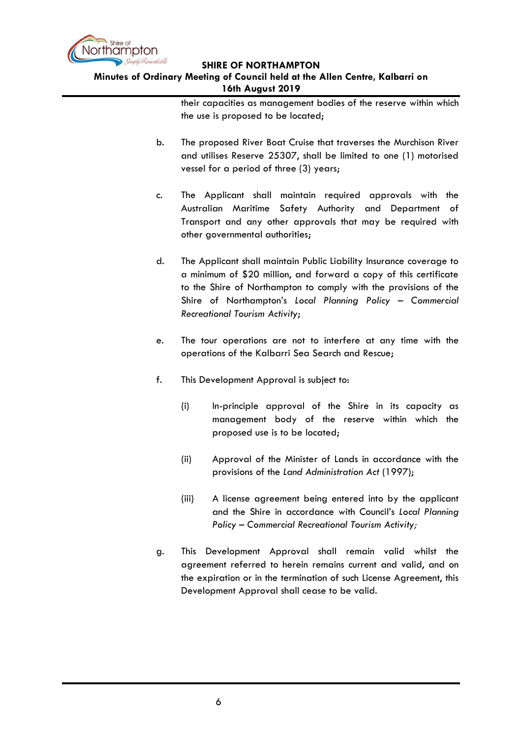

## **Minutes of Ordinary Meeting of Council held at the Allen Centre, Kalbarri on 16th August 2019**

their capacities as management bodies of the reserve within which the use is proposed to be located;

- b. The proposed River Boat Cruise that traverses the Murchison River and utilises Reserve 25307, shall be limited to one (1) motorised vessel for a period of three (3) years;
- c. The Applicant shall maintain required approvals with the Australian Maritime Safety Authority and Department of Transport and any other approvals that may be required with other governmental authorities;
- d. The Applicant shall maintain Public Liability Insurance coverage to a minimum of \$20 million, and forward a copy of this certificate to the Shire of Northampton to comply with the provisions of the Shire of Northampton's *Local Planning Policy – Commercial Recreational Tourism Activity*;
- e. The tour operations are not to interfere at any time with the operations of the Kalbarri Sea Search and Rescue;
- f. This Development Approval is subject to:
	- (i) In-principle approval of the Shire in its capacity as management body of the reserve within which the proposed use is to be located;
	- (ii) Approval of the Minister of Lands in accordance with the provisions of the *Land Administration Act* (1997);
	- (iii) A license agreement being entered into by the applicant and the Shire in accordance with Council's *Local Planning Policy – Commercial Recreational Tourism Activity;*
- g. This Development Approval shall remain valid whilst the agreement referred to herein remains current and valid, and on the expiration or in the termination of such License Agreement, this Development Approval shall cease to be valid.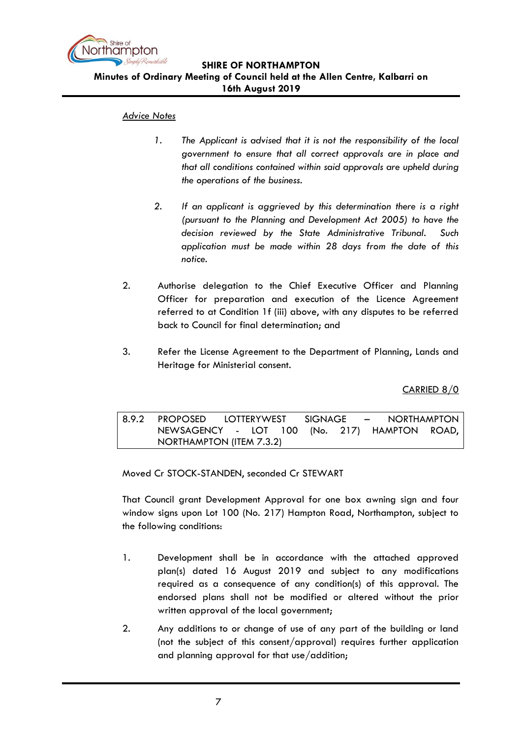

#### *Advice Notes*

- *1. The Applicant is advised that it is not the responsibility of the local government to ensure that all correct approvals are in place and that all conditions contained within said approvals are upheld during the operations of the business.*
- *2. If an applicant is aggrieved by this determination there is a right (pursuant to the Planning and Development Act 2005) to have the decision reviewed by the State Administrative Tribunal. Such application must be made within 28 days from the date of this notice.*
- 2. Authorise delegation to the Chief Executive Officer and Planning Officer for preparation and execution of the Licence Agreement referred to at Condition 1f (iii) above, with any disputes to be referred back to Council for final determination; and
- 3. Refer the License Agreement to the Department of Planning, Lands and Heritage for Ministerial consent.

CARRIED 8/0

<span id="page-6-0"></span>8.9.2 PROPOSED LOTTERYWEST SIGNAGE – NORTHAMPTON NEWSAGENCY - LOT 100 (No. 217) HAMPTON ROAD, NORTHAMPTON (ITEM 7.3.2)

Moved Cr STOCK-STANDEN, seconded Cr STEWART

That Council grant Development Approval for one box awning sign and four window signs upon Lot 100 (No. 217) Hampton Road, Northampton, subject to the following conditions:

- 1. Development shall be in accordance with the attached approved plan(s) dated 16 August 2019 and subject to any modifications required as a consequence of any condition(s) of this approval. The endorsed plans shall not be modified or altered without the prior written approval of the local government;
- 2. Any additions to or change of use of any part of the building or land (not the subject of this consent/approval) requires further application and planning approval for that use/addition;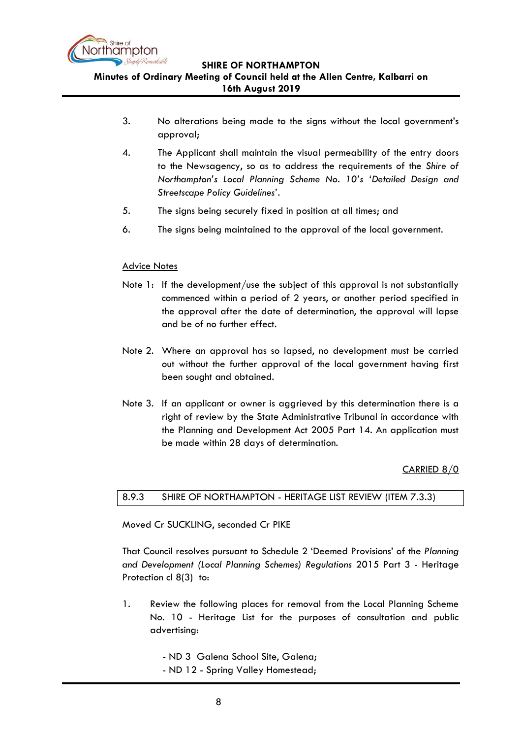

- 3. No alterations being made to the signs without the local government's approval;
- 4. The Applicant shall maintain the visual permeability of the entry doors to the Newsagency, so as to address the requirements of the *Shire of Northampton's Local Planning Scheme No. 10's 'Detailed Design and Streetscape Policy Guidelines'*.
- 5. The signs being securely fixed in position at all times; and
- 6. The signs being maintained to the approval of the local government.

## Advice Notes

- Note 1: If the development/use the subject of this approval is not substantially commenced within a period of 2 years, or another period specified in the approval after the date of determination, the approval will lapse and be of no further effect.
- Note 2. Where an approval has so lapsed, no development must be carried out without the further approval of the local government having first been sought and obtained.
- Note 3. If an applicant or owner is aggrieved by this determination there is a right of review by the State Administrative Tribunal in accordance with the Planning and Development Act 2005 Part 14. An application must be made within 28 days of determination.

CARRIED 8/0

## <span id="page-7-0"></span>8.9.3 SHIRE OF NORTHAMPTON - HERITAGE LIST REVIEW (ITEM 7.3.3)

Moved Cr SUCKLING, seconded Cr PIKE

That Council resolves pursuant to Schedule 2 'Deemed Provisions' of the *Planning and Development (Local Planning Schemes) Regulations* 2015 Part 3 - Heritage Protection cl 8(3) to:

- 1. Review the following places for removal from the Local Planning Scheme No. 10 - Heritage List for the purposes of consultation and public advertising:
	- ND 3 Galena School Site, Galena;
	- ND 12 Spring Valley Homestead;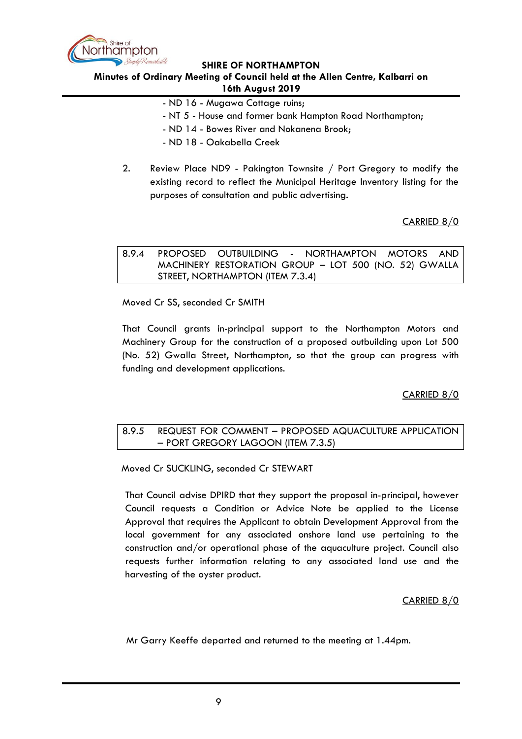

#### **Minutes of Ordinary Meeting of Council held at the Allen Centre, Kalbarri on 16th August 2019**

- ND 16 Mugawa Cottage ruins;
- NT 5 House and former bank Hampton Road Northampton;
- ND 14 Bowes River and Nokanena Brook;
- ND 18 Oakabella Creek
- 2. Review Place ND9 Pakington Townsite / Port Gregory to modify the existing record to reflect the Municipal Heritage Inventory listing for the purposes of consultation and public advertising.

CARRIED 8/0

<span id="page-8-0"></span>

|  | 8.9.4 PROPOSED OUTBUILDING - NORTHAMPTON MOTORS AND   |  |  |  |
|--|-------------------------------------------------------|--|--|--|
|  | MACHINERY RESTORATION GROUP - LOT 500 (NO. 52) GWALLA |  |  |  |
|  | STREET, NORTHAMPTON (ITEM 7.3.4)                      |  |  |  |

Moved Cr SS, seconded Cr SMITH

That Council grants in-principal support to the Northampton Motors and Machinery Group for the construction of a proposed outbuilding upon Lot 500 (No. 52) Gwalla Street, Northampton, so that the group can progress with funding and development applications.

CARRIED 8/0

#### <span id="page-8-1"></span>8.9.5 REQUEST FOR COMMENT – PROPOSED AQUACULTURE APPLICATION – PORT GREGORY LAGOON (ITEM 7.3.5)

Moved Cr SUCKLING, seconded Cr STEWART

That Council advise DPIRD that they support the proposal in-principal, however Council requests a Condition or Advice Note be applied to the License Approval that requires the Applicant to obtain Development Approval from the local government for any associated onshore land use pertaining to the construction and/or operational phase of the aquaculture project. Council also requests further information relating to any associated land use and the harvesting of the oyster product.

#### CARRIED 8/0

Mr Garry Keeffe departed and returned to the meeting at 1.44pm.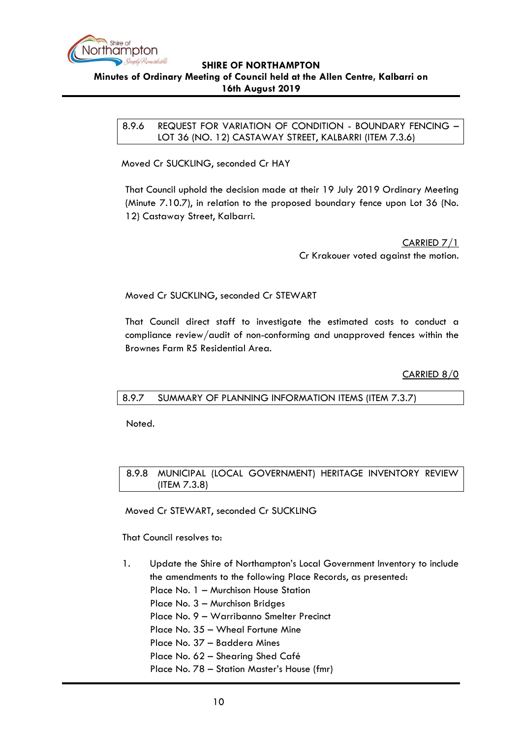

<span id="page-9-0"></span>8.9.6 REQUEST FOR VARIATION OF CONDITION - BOUNDARY FENCING – LOT 36 (NO. 12) CASTAWAY STREET, KALBARRI (ITEM 7.3.6)

Moved Cr SUCKLING, seconded Cr HAY

That Council uphold the decision made at their 19 July 2019 Ordinary Meeting (Minute 7.10.7), in relation to the proposed boundary fence upon Lot 36 (No. 12) Castaway Street, Kalbarri.

> CARRIED 7/1 Cr Krakouer voted against the motion.

Moved Cr SUCKLING, seconded Cr STEWART

That Council direct staff to investigate the estimated costs to conduct a compliance review/audit of non-conforming and unapproved fences within the Brownes Farm R5 Residential Area.

CARRIED 8/0

<span id="page-9-1"></span>8.9.7 SUMMARY OF PLANNING INFORMATION ITEMS (ITEM 7.3.7)

Noted.

<span id="page-9-2"></span>8.9.8 MUNICIPAL (LOCAL GOVERNMENT) HERITAGE INVENTORY REVIEW (ITEM 7.3.8)

Moved Cr STEWART, seconded Cr SUCKLING

That Council resolves to:

- 1. Update the Shire of Northampton's Local Government Inventory to include the amendments to the following Place Records, as presented:
	- Place No. 1 Murchison House Station
	- Place No. 3 Murchison Bridges
	- Place No. 9 Warribanno Smelter Precinct
	- Place No. 35 Wheal Fortune Mine
	- Place No. 37 Baddera Mines
	- Place No. 62 Shearing Shed Café
	- Place No. 78 Station Master's House (fmr)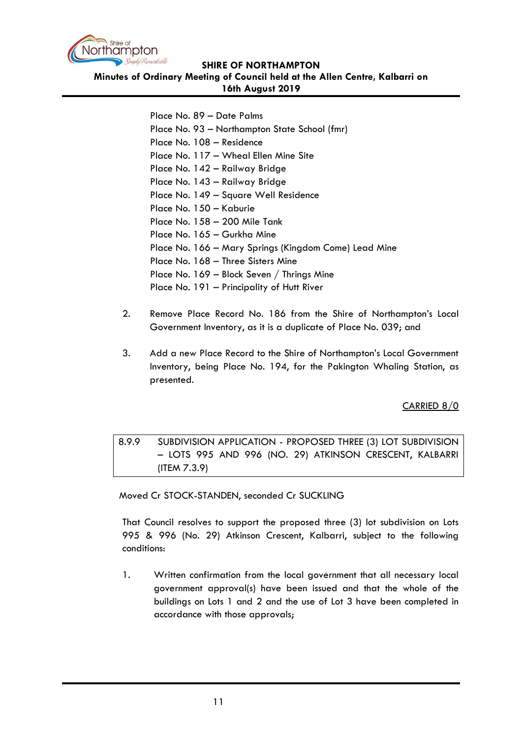

**Minutes of Ordinary Meeting of Council held at the Allen Centre, Kalbarri on 16th August 2019**

> Place No. 89 – Date Palms Place No. 93 – Northampton State School (fmr) Place No. 108 – Residence Place No. 117 – Wheal Ellen Mine Site Place No. 142 – Railway Bridge Place No. 143 – Railway Bridge Place No. 149 – Square Well Residence Place No. 150 – Kaburie Place No. 158 – 200 Mile Tank Place No. 165 – Gurkha Mine Place No. 166 – Mary Springs (Kingdom Come) Lead Mine Place No. 168 – Three Sisters Mine Place No. 169 – Block Seven / Thrings Mine Place No. 191 – Principality of Hutt River

- 2. Remove Place Record No. 186 from the Shire of Northampton's Local Government Inventory, as it is a duplicate of Place No. 039; and
- 3. Add a new Place Record to the Shire of Northampton's Local Government Inventory, being Place No. 194, for the Pakington Whaling Station, as presented.

CARRIED 8/0

<span id="page-10-0"></span>8.9.9 SUBDIVISION APPLICATION - PROPOSED THREE (3) LOT SUBDIVISION – LOTS 995 AND 996 (NO. 29) ATKINSON CRESCENT, KALBARRI (ITEM 7.3.9)

Moved Cr STOCK-STANDEN, seconded Cr SUCKLING

That Council resolves to support the proposed three (3) lot subdivision on Lots 995 & 996 (No. 29) Atkinson Crescent, Kalbarri, subject to the following conditions:

1. Written confirmation from the local government that all necessary local government approval(s) have been issued and that the whole of the buildings on Lots 1 and 2 and the use of Lot 3 have been completed in accordance with those approvals;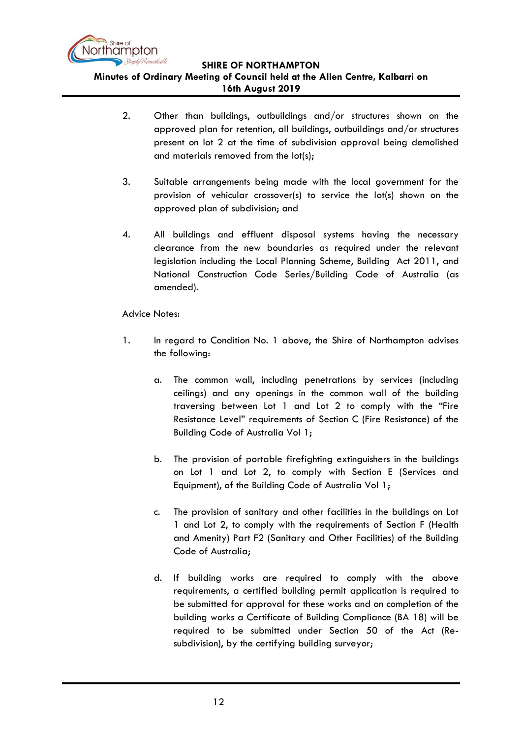

**Minutes of Ordinary Meeting of Council held at the Allen Centre, Kalbarri on** 

**16th August 2019**

- 2. Other than buildings, outbuildings and/or structures shown on the approved plan for retention, all buildings, outbuildings and/or structures present on lot 2 at the time of subdivision approval being demolished and materials removed from the lot(s);
- 3. Suitable arrangements being made with the local government for the provision of vehicular crossover(s) to service the lot(s) shown on the approved plan of subdivision; and
- 4. All buildings and effluent disposal systems having the necessary clearance from the new boundaries as required under the relevant legislation including the Local Planning Scheme, Building Act 2011, and National Construction Code Series/Building Code of Australia (as amended).

# Advice Notes:

- 1. In regard to Condition No. 1 above, the Shire of Northampton advises the following:
	- a. The common wall, including penetrations by services (including ceilings) and any openings in the common wall of the building traversing between Lot 1 and Lot 2 to comply with the "Fire Resistance Level" requirements of Section C (Fire Resistance) of the Building Code of Australia Vol 1;
	- b. The provision of portable firefighting extinguishers in the buildings on Lot 1 and Lot 2, to comply with Section E (Services and Equipment), of the Building Code of Australia Vol 1;
	- c. The provision of sanitary and other facilities in the buildings on Lot 1 and Lot 2, to comply with the requirements of Section F (Health and Amenity) Part F2 (Sanitary and Other Facilities) of the Building Code of Australia;
	- d. If building works are required to comply with the above requirements, a certified building permit application is required to be submitted for approval for these works and on completion of the building works a Certificate of Building Compliance (BA 18) will be required to be submitted under Section 50 of the Act (Resubdivision), by the certifying building surveyor;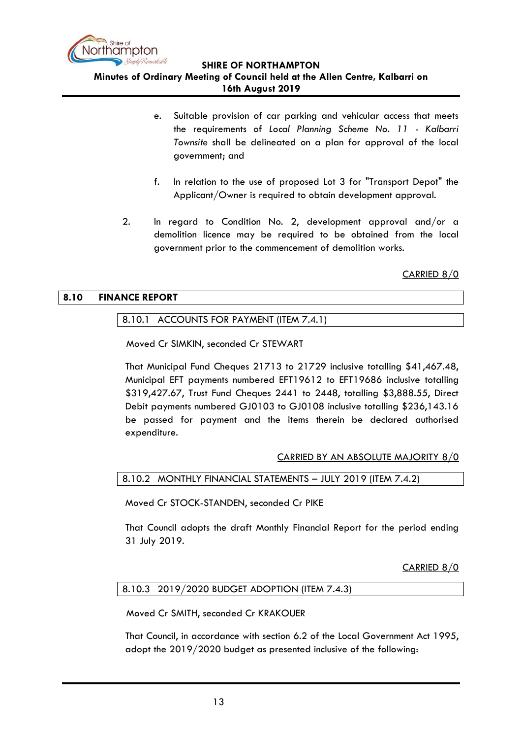

**Minutes of Ordinary Meeting of Council held at the Allen Centre, Kalbarri on** 

**16th August 2019**

- e. Suitable provision of car parking and vehicular access that meets the requirements of *Local Planning Scheme No. 11 - Kalbarri Townsite* shall be delineated on a plan for approval of the local government; and
- f. In relation to the use of proposed Lot 3 for "Transport Depot" the Applicant/Owner is required to obtain development approval.
- 2. In regard to Condition No. 2, development approval and/or a demolition licence may be required to be obtained from the local government prior to the commencement of demolition works.

CARRIED 8/0

# <span id="page-12-1"></span><span id="page-12-0"></span>**8.10 FINANCE REPORT**

# 8.10.1 ACCOUNTS FOR PAYMENT (ITEM 7.4.1)

Moved Cr SIMKIN, seconded Cr STEWART

That Municipal Fund Cheques 21713 to 21729 inclusive totalling \$41,467.48, Municipal EFT payments numbered EFT19612 to EFT19686 inclusive totalling \$319,427.67, Trust Fund Cheques 2441 to 2448, totalling \$3,888.55, Direct Debit payments numbered GJ0103 to GJ0108 inclusive totalling \$236,143.16 be passed for payment and the items therein be declared authorised expenditure.

CARRIED BY AN ABSOLUTE MAJORITY 8/0

<span id="page-12-2"></span>8.10.2 MONTHLY FINANCIAL STATEMENTS – JULY 2019 (ITEM 7.4.2)

Moved Cr STOCK-STANDEN, seconded Cr PIKE

That Council adopts the draft Monthly Financial Report for the period ending 31 July 2019.

CARRIED 8/0

## <span id="page-12-3"></span>8.10.3 2019/2020 BUDGET ADOPTION (ITEM 7.4.3)

Moved Cr SMITH, seconded Cr KRAKOUER

That Council, in accordance with section 6.2 of the Local Government Act 1995, adopt the 2019/2020 budget as presented inclusive of the following: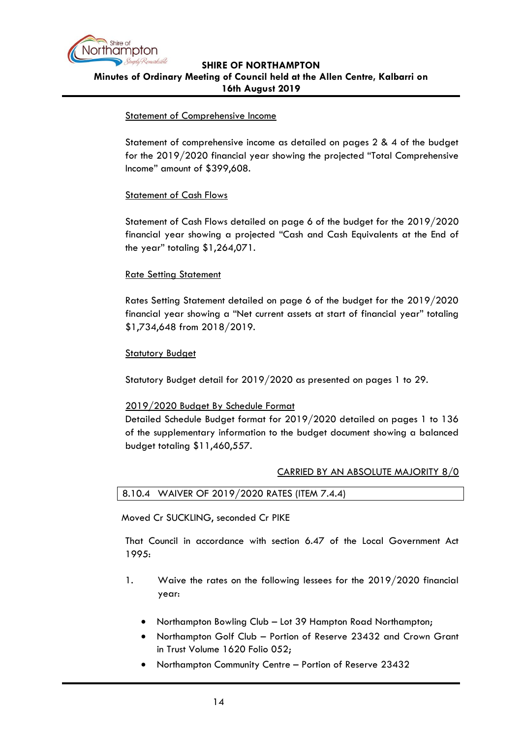

#### Statement of Comprehensive Income

Statement of comprehensive income as detailed on pages 2 & 4 of the budget for the 2019/2020 financial year showing the projected "Total Comprehensive Income" amount of \$399,608.

## Statement of Cash Flows

Statement of Cash Flows detailed on page 6 of the budget for the 2019/2020 financial year showing a projected "Cash and Cash Equivalents at the End of the year" totaling \$1,264,071.

## Rate Setting Statement

Rates Setting Statement detailed on page 6 of the budget for the 2019/2020 financial year showing a "Net current assets at start of financial year" totaling \$1,734,648 from 2018/2019.

## **Statutory Budget**

Statutory Budget detail for 2019/2020 as presented on pages 1 to 29.

## 2019/2020 Budget By Schedule Format

Detailed Schedule Budget format for 2019/2020 detailed on pages 1 to 136 of the supplementary information to the budget document showing a balanced budget totaling \$11,460,557.

#### CARRIED BY AN ABSOLUTE MAJORITY 8/0

<span id="page-13-0"></span>

| 8.10.4 WAIVER OF 2019/2020 RATES (ITEM 7.4.4) |
|-----------------------------------------------|
|-----------------------------------------------|

Moved Cr SUCKLING, seconded Cr PIKE

That Council in accordance with section 6.47 of the Local Government Act 1995:

- 1. Waive the rates on the following lessees for the 2019/2020 financial year:
	- Northampton Bowling Club Lot 39 Hampton Road Northampton;
	- Northampton Golf Club Portion of Reserve 23432 and Crown Grant in Trust Volume 1620 Folio 052;
	- Northampton Community Centre Portion of Reserve 23432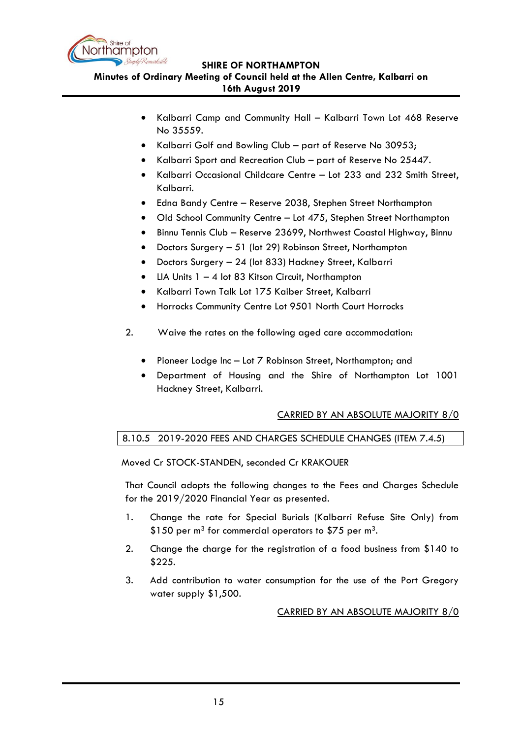

**Minutes of Ordinary Meeting of Council held at the Allen Centre, Kalbarri on** 

# **16th August 2019**

- Kalbarri Camp and Community Hall Kalbarri Town Lot 468 Reserve No 35559.
- Kalbarri Golf and Bowling Club part of Reserve No 30953;
- Kalbarri Sport and Recreation Club part of Reserve No 25447.
- Kalbarri Occasional Childcare Centre Lot 233 and 232 Smith Street, Kalbarri.
- Edna Bandy Centre Reserve 2038, Stephen Street Northampton
- Old School Community Centre Lot 475, Stephen Street Northampton
- Binnu Tennis Club Reserve 23699, Northwest Coastal Highway, Binnu
- Doctors Surgery 51 (lot 29) Robinson Street, Northampton
- Doctors Surgery 24 (lot 833) Hackney Street, Kalbarri
- LIA Units  $1 4$  lot 83 Kitson Circuit, Northampton
- Kalbarri Town Talk Lot 175 Kaiber Street, Kalbarri
- Horrocks Community Centre Lot 9501 North Court Horrocks
- 2. Waive the rates on the following aged care accommodation:
	- Pioneer Lodge Inc Lot 7 Robinson Street, Northampton; and
	- Department of Housing and the Shire of Northampton Lot 1001 Hackney Street, Kalbarri.

# CARRIED BY AN ABSOLUTE MAJORITY 8/0

# <span id="page-14-0"></span>8.10.5 2019-2020 FEES AND CHARGES SCHEDULE CHANGES (ITEM 7.4.5)

Moved Cr STOCK-STANDEN, seconded Cr KRAKOUER

That Council adopts the following changes to the Fees and Charges Schedule for the 2019/2020 Financial Year as presented.

- 1. Change the rate for Special Burials (Kalbarri Refuse Site Only) from \$150 per  $m^3$  for commercial operators to \$75 per  $m^3$ .
- 2. Change the charge for the registration of a food business from \$140 to \$225.
- 3. Add contribution to water consumption for the use of the Port Gregory water supply \$1,500.

CARRIED BY AN ABSOLUTE MAJORITY 8/0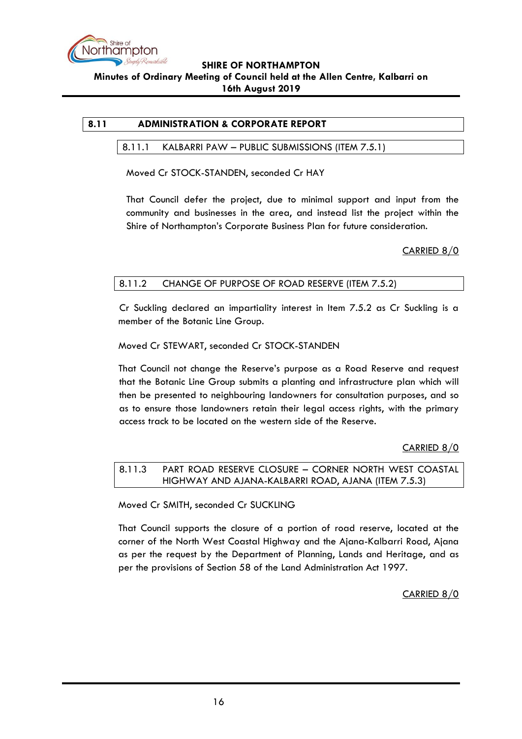

# <span id="page-15-1"></span><span id="page-15-0"></span>**8.11 ADMINISTRATION & CORPORATE REPORT**

#### 8.11.1 KALBARRI PAW – PUBLIC SUBMISSIONS (ITEM 7.5.1)

Moved Cr STOCK-STANDEN, seconded Cr HAY

That Council defer the project, due to minimal support and input from the community and businesses in the area, and instead list the project within the Shire of Northampton's Corporate Business Plan for future consideration.

CARRIED 8/0

# <span id="page-15-2"></span>8.11.2 CHANGE OF PURPOSE OF ROAD RESERVE (ITEM 7.5.2)

Cr Suckling declared an impartiality interest in Item 7.5.2 as Cr Suckling is a member of the Botanic Line Group.

## Moved Cr STEWART, seconded Cr STOCK-STANDEN

That Council not change the Reserve's purpose as a Road Reserve and request that the Botanic Line Group submits a planting and infrastructure plan which will then be presented to neighbouring landowners for consultation purposes, and so as to ensure those landowners retain their legal access rights, with the primary access track to be located on the western side of the Reserve.

## CARRIED 8/0

<span id="page-15-3"></span>8.11.3 PART ROAD RESERVE CLOSURE – CORNER NORTH WEST COASTAL HIGHWAY AND AJANA-KALBARRI ROAD, AJANA (ITEM 7.5.3)

Moved Cr SMITH, seconded Cr SUCKLING

That Council supports the closure of a portion of road reserve, located at the corner of the North West Coastal Highway and the Ajana-Kalbarri Road, Ajana as per the request by the Department of Planning, Lands and Heritage, and as per the provisions of Section 58 of the Land Administration Act 1997.

CARRIED 8/0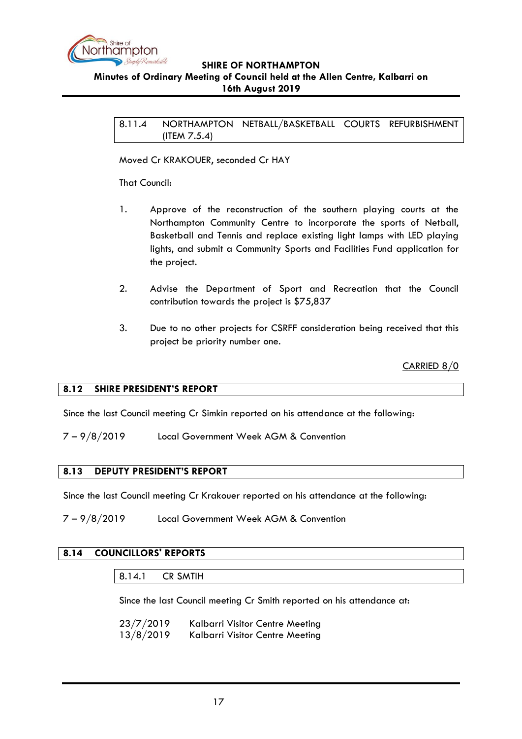

#### <span id="page-16-0"></span>**Minutes of Ordinary Meeting of Council held at the Allen Centre, Kalbarri on 16th August 2019**

8.11.4 NORTHAMPTON NETBALL/BASKETBALL COURTS REFURBISHMENT (ITEM 7.5.4)

Moved Cr KRAKOUER, seconded Cr HAY

That Council:

- 1. Approve of the reconstruction of the southern playing courts at the Northampton Community Centre to incorporate the sports of Netball, Basketball and Tennis and replace existing light lamps with LED playing lights, and submit a Community Sports and Facilities Fund application for the project.
- 2. Advise the Department of Sport and Recreation that the Council contribution towards the project is \$75,837
- 3. Due to no other projects for CSRFF consideration being received that this project be priority number one.

CARRIED 8/0

## <span id="page-16-1"></span>**8.12 SHIRE PRESIDENT'S REPORT**

Since the last Council meeting Cr Simkin reported on his attendance at the following:

7 – 9/8/2019 Local Government Week AGM & Convention

#### <span id="page-16-2"></span>**8.13 DEPUTY PRESIDENT'S REPORT**

Since the last Council meeting Cr Krakouer reported on his attendance at the following:

7 – 9/8/2019 Local Government Week AGM & Convention

## <span id="page-16-4"></span><span id="page-16-3"></span>**8.14 COUNCILLORS' REPORTS**

Since the last Council meeting Cr Smith reported on his attendance at:

23/7/2019 Kalbarri Visitor Centre Meeting 13/8/2019 Kalbarri Visitor Centre Meeting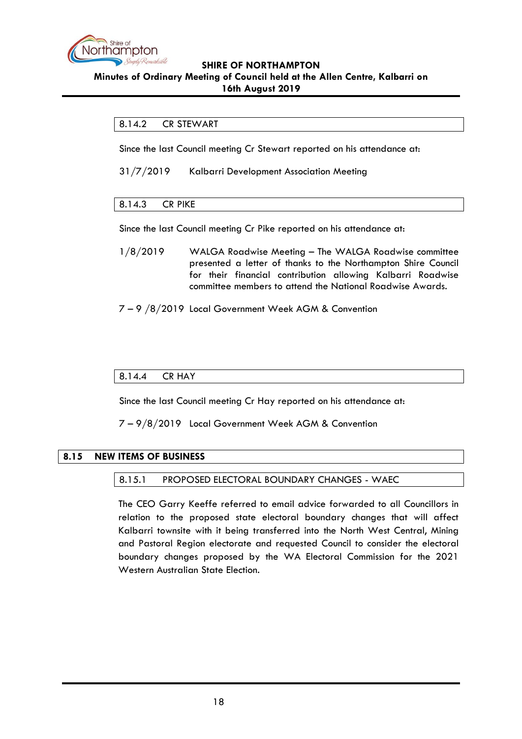

## <span id="page-17-0"></span>8.14.2 CR STEWART

Since the last Council meeting Cr Stewart reported on his attendance at:

31/7/2019 Kalbarri Development Association Meeting

# <span id="page-17-1"></span>8.14.3 CR PIKE

Since the last Council meeting Cr Pike reported on his attendance at:

- 1/8/2019 WALGA Roadwise Meeting The WALGA Roadwise committee presented a letter of thanks to the Northampton Shire Council for their financial contribution allowing Kalbarri Roadwise committee members to attend the National Roadwise Awards.
- 7 9 /8/2019 Local Government Week AGM & Convention

## <span id="page-17-2"></span>8.14.4 CR HAY

Since the last Council meeting Cr Hay reported on his attendance at:

7 – 9/8/2019 Local Government Week AGM & Convention

# <span id="page-17-4"></span><span id="page-17-3"></span>**8.15 NEW ITEMS OF BUSINESS**

#### 8.15.1 PROPOSED ELECTORAL BOUNDARY CHANGES - WAEC

The CEO Garry Keeffe referred to email advice forwarded to all Councillors in relation to the proposed state electoral boundary changes that will affect Kalbarri townsite with it being transferred into the North West Central, Mining and Pastoral Region electorate and requested Council to consider the electoral boundary changes proposed by the WA Electoral Commission for the 2021 Western Australian State Election.